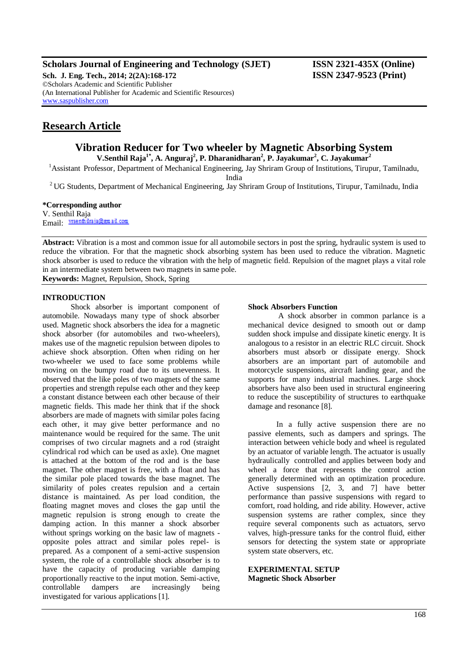# **Scholars Journal of Engineering and Technology (SJET) ISSN 2321-435X (Online)**

**Sch. J. Eng. Tech., 2014; 2(2A):168-172 ISSN 2347-9523 (Print)** ©Scholars Academic and Scientific Publisher (An International Publisher for Academic and Scientific Resources) [www.saspublisher.com](http://www.saspublisher.com/)

# **Research Article**

# **Vibration Reducer for Two wheeler by Magnetic Absorbing System**

**V.Senthil Raja1\* , A. Anguraj<sup>2</sup> , P. Dharanidharan<sup>2</sup> , P. Jayakumar<sup>2</sup> , C. Jayakumar<sup>2</sup>**

<sup>1</sup>Assistant Professor, Department of Mechanical Engineering, Jay Shriram Group of Institutions, Tirupur, Tamilnadu, India

<sup>2</sup> UG Students, Department of Mechanical Engineering, Jay Shriram Group of Institutions, Tirupur, Tamilnadu, India

#### **\*Corresponding author**

V. Senthil Raja Email: vrsenthilraja@gmail.com

**Abstract:** Vibration is a most and common issue for all automobile sectors in post the spring, hydraulic system is used to reduce the vibration. For that the magnetic shock absorbing system has been used to reduce the vibration. Magnetic shock absorber is used to reduce the vibration with the help of magnetic field. Repulsion of the magnet plays a vital role in an intermediate system between two magnets in same pole.

**Keywords:** Magnet, Repulsion, Shock, Spring

# **INTRODUCTION**

Shock absorber is important component of automobile. Nowadays many type of shock absorber used. Magnetic shock absorbers the idea for a magnetic shock absorber (for automobiles and two-wheelers), makes use of the magnetic repulsion between dipoles to achieve shock absorption. Often when riding on her two-wheeler we used to face some problems while moving on the bumpy road due to its unevenness. It observed that the like poles of two magnets of the same properties and strength repulse each other and they keep a constant distance between each other because of their magnetic fields. This made her think that if the shock absorbers are made of magnets with similar poles facing each other, it may give better performance and no maintenance would be required for the same. The unit comprises of two circular magnets and a rod (straight cylindrical rod which can be used as axle). One magnet is attached at the bottom of the rod and is the base magnet. The other magnet is free, with a float and has the similar pole placed towards the base magnet. The similarity of poles creates repulsion and a certain distance is maintained. As per load condition, the floating magnet moves and closes the gap until the magnetic repulsion is strong enough to create the damping action. In this manner a shock absorber without springs working on the basic law of magnets opposite poles attract and similar poles repel- is prepared. As a component of a semi-active suspension system, the role of a controllable shock absorber is to have the capacity of producing variable damping proportionally reactive to the input motion. Semi-active, controllable dampers are increasingly being investigated for various applications [1].

#### **Shock Absorbers Function**

A shock absorber in common parlance is a mechanical device designed to smooth out or damp sudden shock impulse and dissipate kinetic energy. It is analogous to a resistor in an electric RLC circuit. Shock absorbers must absorb or dissipate energy. Shock absorbers are an important part of automobile and motorcycle suspensions, aircraft landing gear, and the supports for many industrial machines. Large shock absorbers have also been used in structural engineering to reduce the susceptibility of structures to earthquake damage and resonance [8].

In a fully active suspension there are no passive elements, such as dampers and springs. The interaction between vehicle body and wheel is regulated by an actuator of variable length. The actuator is usually hydraulically controlled and applies between body and wheel a force that represents the control action generally determined with an optimization procedure. Active suspensions [2, 3, and 7] have better performance than passive suspensions with regard to comfort, road holding, and ride ability. However, active suspension systems are rather complex, since they require several components such as actuators, servo valves, high-pressure tanks for the control fluid, either sensors for detecting the system state or appropriate system state observers, etc.

**EXPERIMENTAL SETUP Magnetic Shock Absorber**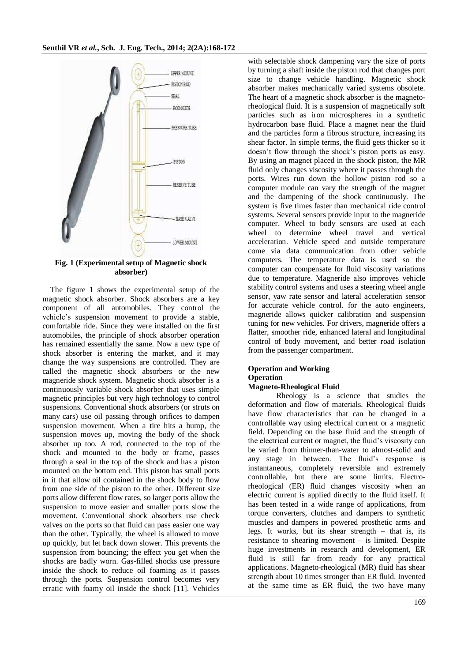

**Fig. 1 (Experimental setup of Magnetic shock absorber)**

The figure 1 shows the experimental setup of the magnetic shock absorber. Shock absorbers are a key component of all automobiles. They control the vehicle's suspension movement to provide a stable, comfortable ride. Since they were installed on the first automobiles, the principle of shock absorber operation has remained essentially the same. Now a new type of shock absorber is entering the market, and it may change the way suspensions are controlled. They are called the magnetic shock absorbers or the new magneride shock system. Magnetic shock absorber is a continuously variable shock absorber that uses simple magnetic principles but very high technology to control suspensions. Conventional shock absorbers (or struts on many cars) use oil passing through orifices to dampen suspension movement. When a tire hits a bump, the suspension moves up, moving the body of the shock absorber up too. A rod, connected to the top of the shock and mounted to the body or frame, passes through a seal in the top of the shock and has a piston mounted on the bottom end. This piston has small ports in it that allow oil contained in the shock body to flow from one side of the piston to the other. Different size ports allow different flow rates, so larger ports allow the suspension to move easier and smaller ports slow the movement. Conventional shock absorbers use check valves on the ports so that fluid can pass easier one way than the other. Typically, the wheel is allowed to move up quickly, but let back down slower. This prevents the suspension from bouncing; the effect you get when the shocks are badly worn. Gas-filled shocks use pressure inside the shock to reduce oil foaming as it passes through the ports. Suspension control becomes very erratic with foamy oil inside the shock [11]. Vehicles

with selectable shock dampening vary the size of ports by turning a shaft inside the piston rod that changes port size to change vehicle handling. Magnetic shock absorber makes mechanically varied systems obsolete. The heart of a magnetic shock absorber is the magnetorheological fluid. It is a suspension of magnetically soft particles such as iron microspheres in a synthetic hydrocarbon base fluid. Place a magnet near the fluid and the particles form a fibrous structure, increasing its shear factor. In simple terms, the fluid gets thicker so it doesn't flow through the shock's piston ports as easy. By using an magnet placed in the shock piston, the MR fluid only changes viscosity where it passes through the ports. Wires run down the hollow piston rod so a computer module can vary the strength of the magnet and the dampening of the shock continuously. The system is five times faster than mechanical ride control systems. Several sensors provide input to the magneride computer. Wheel to body sensors are used at each wheel to determine wheel travel and vertical acceleration. Vehicle speed and outside temperature come via data communication from other vehicle computers. The temperature data is used so the computer can compensate for fluid viscosity variations due to temperature. Magneride also improves vehicle stability control systems and uses a steering wheel angle sensor, yaw rate sensor and lateral acceleration sensor for accurate vehicle control. for the auto engineers, magneride allows quicker calibration and suspension tuning for new vehicles. For drivers, magneride offers a flatter, smoother ride, enhanced lateral and longitudinal control of body movement, and better road isolation from the passenger compartment.

# **Operation and Working Operation**

#### **Magneto-Rheological Fluid**

Rheology is a science that studies the deformation and flow of materials. Rheological fluids have flow characteristics that can be changed in a controllable way using electrical current or a magnetic field. Depending on the base fluid and the strength of the electrical current or magnet, the fluid's viscosity can be varied from thinner-than-water to almost-solid and any stage in between. The fluid's response is instantaneous, completely reversible and extremely controllable, but there are some limits. Electrorheological (ER) fluid changes viscosity when an electric current is applied directly to the fluid itself. It has been tested in a wide range of applications, from torque converters, clutches and dampers to synthetic muscles and dampers in powered prosthetic arms and legs. It works, but its shear strength – that is, its resistance to shearing movement – is limited. Despite huge investments in research and development, ER fluid is still far from ready for any practical applications. Magneto-rheological (MR) fluid has shear strength about 10 times stronger than ER fluid. Invented at the same time as ER fluid, the two have many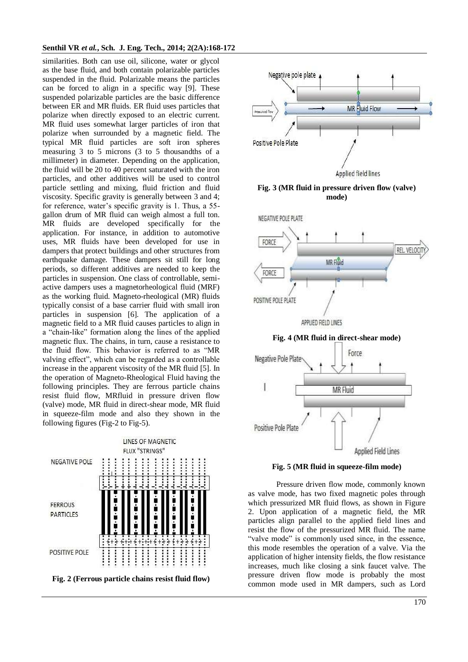#### **Senthil VR** *et al.***, Sch. J. Eng. Tech., 2014; 2(2A):168-172**

similarities. Both can use oil, silicone, water or glycol as the base fluid, and both contain polarizable particles suspended in the fluid. Polarizable means the particles can be forced to align in a specific way [9]. These suspended polarizable particles are the basic difference between ER and MR fluids. ER fluid uses particles that polarize when directly exposed to an electric current. MR fluid uses somewhat larger particles of iron that polarize when surrounded by a magnetic field. The typical MR fluid particles are soft iron spheres measuring 3 to 5 microns (3 to 5 thousandths of a millimeter) in diameter. Depending on the application, the fluid will be 20 to 40 percent saturated with the iron particles, and other additives will be used to control particle settling and mixing, fluid friction and fluid viscosity. Specific gravity is generally between 3 and 4; for reference, water's specific gravity is 1. Thus, a 55 gallon drum of MR fluid can weigh almost a full ton. MR fluids are developed specifically for the application. For instance, in addition to automotive uses, MR fluids have been developed for use in dampers that protect buildings and other structures from earthquake damage. These dampers sit still for long periods, so different additives are needed to keep the particles in suspension. One class of controllable, semiactive dampers uses a magnetorheological fluid (MRF) as the working fluid. Magneto-rheological (MR) fluids typically consist of a base carrier fluid with small iron particles in suspension [6]. The application of a magnetic field to a MR fluid causes particles to align in a "chain-like" formation along the lines of the applied magnetic flux. The chains, in turn, cause a resistance to the fluid flow. This behavior is referred to as "MR valving effect", which can be regarded as a controllable increase in the apparent viscosity of the MR fluid [5]. In the operation of Magneto-Rheological Fluid having the following principles. They are ferrous particle chains resist fluid flow, MRfluid in pressure driven flow (valve) mode, MR fluid in direct-shear mode, MR fluid in squeeze-film mode and also they shown in the following figures (Fig-2 to Fig-5).





**Fig. 3 (MR fluid in pressure driven flow (valve) mode)**



**Applied Field Lines** 

#### **Fig. 5 (MR fluid in squeeze-film mode)**

Pressure driven flow mode, commonly known as valve mode, has two fixed magnetic poles through which pressurized MR fluid flows, as shown in Figure 2. Upon application of a magnetic field, the MR particles align parallel to the applied field lines and resist the flow of the pressurized MR fluid. The name "valve mode" is commonly used since, in the essence, this mode resembles the operation of a valve. Via the application of higher intensity fields, the flow resistance increases, much like closing a sink faucet valve. The pressure driven flow mode is probably the most common mode used in MR dampers, such as Lord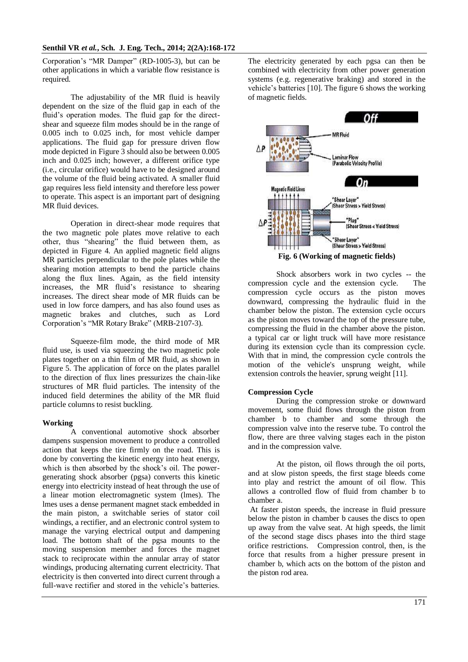Corporation's "MR Damper" (RD-1005-3), but can be other applications in which a variable flow resistance is required.

The adjustability of the MR fluid is heavily dependent on the size of the fluid gap in each of the fluid's operation modes. The fluid gap for the directshear and squeeze film modes should be in the range of 0.005 inch to 0.025 inch, for most vehicle damper applications. The fluid gap for pressure driven flow mode depicted in Figure 3 should also be between 0.005 inch and 0.025 inch; however, a different orifice type (i.e., circular orifice) would have to be designed around the volume of the fluid being activated. A smaller fluid gap requires less field intensity and therefore less power to operate. This aspect is an important part of designing MR fluid devices.

Operation in direct-shear mode requires that the two magnetic pole plates move relative to each other, thus "shearing" the fluid between them, as depicted in Figure 4. An applied magnetic field aligns MR particles perpendicular to the pole plates while the shearing motion attempts to bend the particle chains along the flux lines. Again, as the field intensity increases, the MR fluid's resistance to shearing increases. The direct shear mode of MR fluids can be used in low force dampers, and has also found uses as magnetic brakes and clutches, such as Lord Corporation's "MR Rotary Brake" (MRB-2107-3).

Squeeze-film mode, the third mode of MR fluid use, is used via squeezing the two magnetic pole plates together on a thin film of MR fluid, as shown in Figure 5. The application of force on the plates parallel to the direction of flux lines pressurizes the chain-like structures of MR fluid particles. The intensity of the induced field determines the ability of the MR fluid particle columns to resist buckling.

# **Working**

A conventional automotive shock absorber dampens suspension movement to produce a controlled action that keeps the tire firmly on the road. This is done by converting the kinetic energy into heat energy, which is then absorbed by the shock's oil. The powergenerating shock absorber (pgsa) converts this kinetic energy into electricity instead of heat through the use of a linear motion electromagnetic system (lmes). The lmes uses a dense permanent magnet stack embedded in the main piston, a switchable series of stator coil windings, a rectifier, and an electronic control system to manage the varying electrical output and dampening load. The bottom shaft of the pgsa mounts to the moving suspension member and forces the magnet stack to reciprocate within the annular array of stator windings, producing alternating current electricity. That electricity is then converted into direct current through a full-wave rectifier and stored in the vehicle's batteries.

The electricity generated by each pgsa can then be combined with electricity from other power generation systems (e.g. regenerative braking) and stored in the vehicle's batteries [10]. The figure 6 shows the working of magnetic fields.



Shock absorbers work in two cycles -- the compression cycle and the extension cycle. The compression cycle occurs as the piston moves downward, compressing the hydraulic fluid in the chamber below the piston. The extension cycle occurs as the piston moves toward the top of the pressure tube, compressing the fluid in the chamber above the piston. a typical car or light truck will have more resistance during its extension cycle than its compression cycle. With that in mind, the compression cycle controls the motion of the vehicle's unsprung weight, while extension controls the heavier, sprung weight [11].

# **Compression Cycle**

During the compression stroke or downward movement, some fluid flows through the piston from chamber b to chamber and some through the compression valve into the reserve tube. To control the flow, there are three valving stages each in the piston and in the compression valve.

At the piston, oil flows through the oil ports, and at slow piston speeds, the first stage bleeds come into play and restrict the amount of oil flow. This allows a controlled flow of fluid from chamber b to chamber a.

At faster piston speeds, the increase in fluid pressure below the piston in chamber b causes the discs to open up away from the valve seat. At high speeds, the limit of the second stage discs phases into the third stage orifice restrictions. Compression control, then, is the force that results from a higher pressure present in chamber b, which acts on the bottom of the piston and the piston rod area.